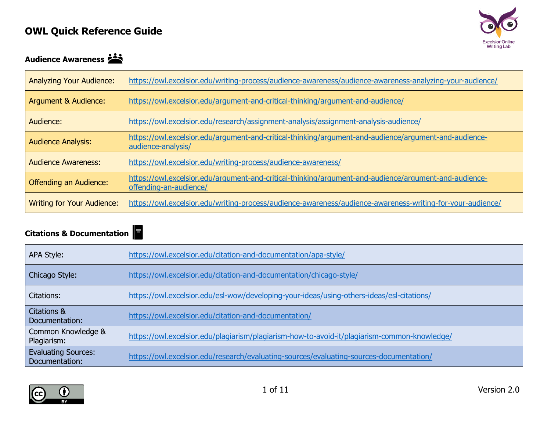

### Audience Awareness

| <b>Analyzing Your Audience:</b>   | https://owl.excelsior.edu/writing-process/audience-awareness/audience-awareness-analyzing-your-audience/                        |
|-----------------------------------|---------------------------------------------------------------------------------------------------------------------------------|
| Argument & Audience:              | https://owl.excelsior.edu/argument-and-critical-thinking/argument-and-audience/                                                 |
| Audience:                         | https://owl.excelsior.edu/research/assignment-analysis/assignment-analysis-audience/                                            |
| <b>Audience Analysis:</b>         | https://owl.excelsior.edu/argument-and-critical-thinking/argument-and-audience/argument-and-audience-<br>audience-analysis/     |
| <b>Audience Awareness:</b>        | https://owl.excelsior.edu/writing-process/audience-awareness/                                                                   |
| <b>Offending an Audience:</b>     | https://owl.excelsior.edu/argument-and-critical-thinking/argument-and-audience/argument-and-audience-<br>offending-an-audience/ |
| <b>Writing for Your Audience:</b> | https://owl.excelsior.edu/writing-process/audience-awareness/audience-awareness-writing-for-your-audience/                      |

#### **Citations & Documentation**

| ׅ֚֡֡֡֡֝ |  |  |
|---------|--|--|
|         |  |  |

| APA Style:                                   | https://owl.excelsior.edu/citation-and-documentation/apa-style/                              |
|----------------------------------------------|----------------------------------------------------------------------------------------------|
| Chicago Style:                               | https://owl.excelsior.edu/citation-and-documentation/chicago-style/                          |
| Citations:                                   | https://owl.excelsior.edu/esl-wow/developing-your-ideas/using-others-ideas/esl-citations/    |
| Citations &<br>Documentation:                | https://owl.excelsior.edu/citation-and-documentation/                                        |
| Common Knowledge &<br>Plagiarism:            | https://owl.excelsior.edu/plagiarism/plagiarism-how-to-avoid-it/plagiarism-common-knowledge/ |
| <b>Evaluating Sources:</b><br>Documentation: | https://owl.excelsior.edu/research/evaluating-sources/evaluating-sources-documentation/      |

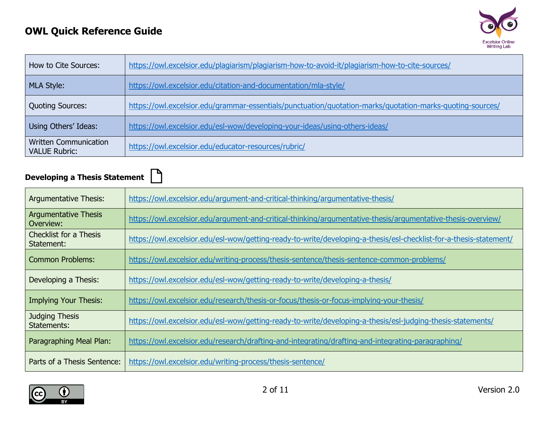

| How to Cite Sources:                                 | https://owl.excelsior.edu/plagiarism/plagiarism-how-to-avoid-it/plagiarism-how-to-cite-sources/           |
|------------------------------------------------------|-----------------------------------------------------------------------------------------------------------|
| MLA Style:                                           | https://owl.excelsior.edu/citation-and-documentation/mla-style/                                           |
| Quoting Sources:                                     | https://owl.excelsior.edu/grammar-essentials/punctuation/quotation-marks/quotation-marks-quoting-sources/ |
| Using Others' Ideas:                                 | https://owl.excelsior.edu/esl-wow/developing-your-ideas/using-others-ideas/                               |
| <b>Written Communication</b><br><b>VALUE Rubric:</b> | https://owl.excelsior.edu/educator-resources/rubric/                                                      |

# **Developing a Thesis Statement**

| <b>Argumentative Thesis:</b>                | https://owl.excelsior.edu/argument-and-critical-thinking/argumentative-thesis/                                     |
|---------------------------------------------|--------------------------------------------------------------------------------------------------------------------|
| <b>Argumentative Thesis</b><br>Overview:    | https://owl.excelsior.edu/argument-and-critical-thinking/argumentative-thesis/argumentative-thesis-overview/       |
| <b>Checklist for a Thesis</b><br>Statement: | https://owl.excelsior.edu/esl-wow/getting-ready-to-write/developing-a-thesis/esl-checklist-for-a-thesis-statement/ |
| <b>Common Problems:</b>                     | https://owl.excelsior.edu/writing-process/thesis-sentence/thesis-sentence-common-problems/                         |
| Developing a Thesis:                        | https://owl.excelsior.edu/esl-wow/getting-ready-to-write/developing-a-thesis/                                      |
| <b>Implying Your Thesis:</b>                | https://owl.excelsior.edu/research/thesis-or-focus/thesis-or-focus-implying-your-thesis/                           |
| <b>Judging Thesis</b><br>Statements:        | https://owl.excelsior.edu/esl-wow/getting-ready-to-write/developing-a-thesis/esl-judging-thesis-statements/        |
| Paragraphing Meal Plan:                     | https://owl.excelsior.edu/research/drafting-and-integrating/drafting-and-integrating-paragraphing/                 |
| Parts of a Thesis Sentence:                 | https://owl.excelsior.edu/writing-process/thesis-sentence/                                                         |

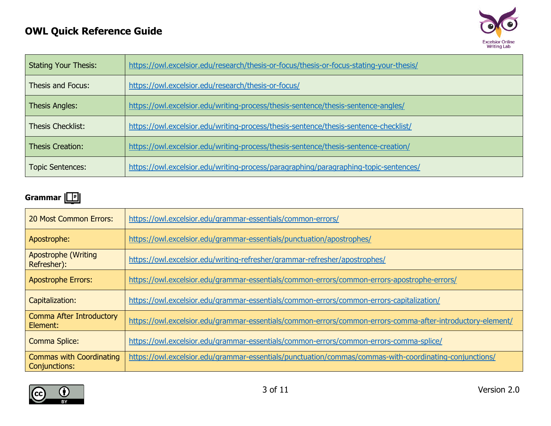

| <b>Stating Your Thesis:</b> | https://owl.excelsior.edu/research/thesis-or-focus/thesis-or-focus-stating-your-thesis/ |
|-----------------------------|-----------------------------------------------------------------------------------------|
| Thesis and Focus:           | https://owl.excelsior.edu/research/thesis-or-focus/                                     |
| <b>Thesis Angles:</b>       | https://owl.excelsior.edu/writing-process/thesis-sentence/thesis-sentence-angles/       |
| <b>Thesis Checklist:</b>    | https://owl.excelsior.edu/writing-process/thesis-sentence/thesis-sentence-checklist/    |
| <b>Thesis Creation:</b>     | https://owl.excelsior.edu/writing-process/thesis-sentence/thesis-sentence-creation/     |
| <b>Topic Sentences:</b>     | https://owl.excelsior.edu/writing-process/paragraphing/paragraphing-topic-sentences/    |

#### **Grammar**

| <b>20 Most Common Errors:</b>                    | https://owl.excelsior.edu/grammar-essentials/common-errors/                                                |
|--------------------------------------------------|------------------------------------------------------------------------------------------------------------|
| Apostrophe:                                      | https://owl.excelsior.edu/grammar-essentials/punctuation/apostrophes/                                      |
| <b>Apostrophe (Writing</b><br>Refresher):        | https://owl.excelsior.edu/writing-refresher/grammar-refresher/apostrophes/                                 |
| <b>Apostrophe Errors:</b>                        | https://owl.excelsior.edu/grammar-essentials/common-errors/common-errors-apostrophe-errors/                |
| Capitalization:                                  | https://owl.excelsior.edu/grammar-essentials/common-errors/common-errors-capitalization/                   |
| Comma After Introductory<br>Element:             | https://owl.excelsior.edu/grammar-essentials/common-errors/common-errors-comma-after-introductory-element/ |
| <b>Comma Splice:</b>                             | https://owl.excelsior.edu/grammar-essentials/common-errors/common-errors-comma-splice/                     |
| <b>Commas with Coordinating</b><br>Conjunctions: | https://owl.excelsior.edu/grammar-essentials/punctuation/commas/commas-with-coordinating-conjunctions/     |

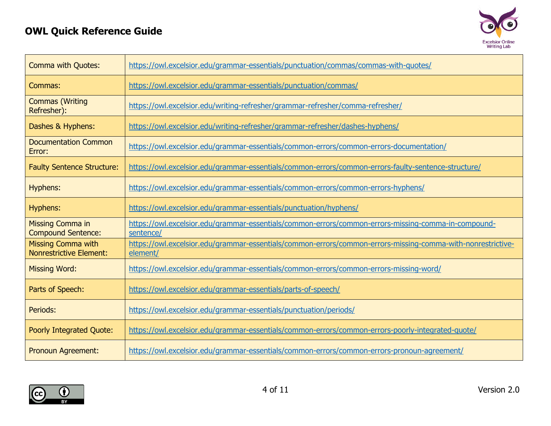

| <b>Comma with Quotes:</b>                                   | https://owl.excelsior.edu/grammar-essentials/punctuation/commas/commas-with-quotes/                                     |
|-------------------------------------------------------------|-------------------------------------------------------------------------------------------------------------------------|
| Commas:                                                     | https://owl.excelsior.edu/grammar-essentials/punctuation/commas/                                                        |
| <b>Commas (Writing</b><br>Refresher):                       | https://owl.excelsior.edu/writing-refresher/grammar-refresher/comma-refresher/                                          |
| Dashes & Hyphens:                                           | https://owl.excelsior.edu/writing-refresher/grammar-refresher/dashes-hyphens/                                           |
| <b>Documentation Common</b><br>Error:                       | https://owl.excelsior.edu/grammar-essentials/common-errors/common-errors-documentation/                                 |
| <b>Faulty Sentence Structure:</b>                           | https://owl.excelsior.edu/grammar-essentials/common-errors/common-errors-faulty-sentence-structure/                     |
| Hyphens:                                                    | https://owl.excelsior.edu/grammar-essentials/common-errors/common-errors-hyphens/                                       |
| Hyphens:                                                    | https://owl.excelsior.edu/grammar-essentials/punctuation/hyphens/                                                       |
| <b>Missing Comma in</b><br><b>Compound Sentence:</b>        | https://owl.excelsior.edu/grammar-essentials/common-errors/common-errors-missing-comma-in-compound-<br>sentence/        |
| <b>Missing Comma with</b><br><b>Nonrestrictive Element:</b> | https://owl.excelsior.edu/grammar-essentials/common-errors/common-errors-missing-comma-with-nonrestrictive-<br>element/ |
| <b>Missing Word:</b>                                        | https://owl.excelsior.edu/grammar-essentials/common-errors/common-errors-missing-word/                                  |
| Parts of Speech:                                            | https://owl.excelsior.edu/grammar-essentials/parts-of-speech/                                                           |
| Periods:                                                    | https://owl.excelsior.edu/grammar-essentials/punctuation/periods/                                                       |
| Poorly Integrated Quote:                                    | https://owl.excelsior.edu/grammar-essentials/common-errors/common-errors-poorly-integrated-quote/                       |
| Pronoun Agreement:                                          | https://owl.excelsior.edu/grammar-essentials/common-errors/common-errors-pronoun-agreement/                             |

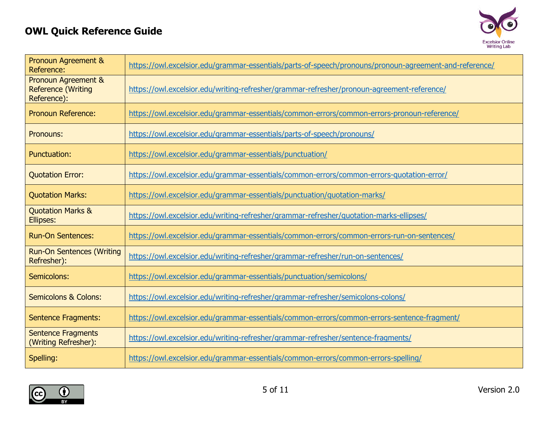

| Pronoun Agreement &<br>Reference:                                          | https://owl.excelsior.edu/grammar-essentials/parts-of-speech/pronouns/pronoun-agreement-and-reference/ |
|----------------------------------------------------------------------------|--------------------------------------------------------------------------------------------------------|
| <b>Pronoun Agreement &amp;</b><br><b>Reference (Writing</b><br>Reference): | https://owl.excelsior.edu/writing-refresher/grammar-refresher/pronoun-agreement-reference/             |
| <b>Pronoun Reference:</b>                                                  | https://owl.excelsior.edu/grammar-essentials/common-errors/common-errors-pronoun-reference/            |
| Pronouns:                                                                  | https://owl.excelsior.edu/grammar-essentials/parts-of-speech/pronouns/                                 |
| <b>Punctuation:</b>                                                        | https://owl.excelsior.edu/grammar-essentials/punctuation/                                              |
| <b>Quotation Error:</b>                                                    | https://owl.excelsior.edu/grammar-essentials/common-errors/common-errors-quotation-error/              |
| <b>Quotation Marks:</b>                                                    | https://owl.excelsior.edu/grammar-essentials/punctuation/guotation-marks/                              |
| <b>Quotation Marks &amp;</b><br>Ellipses:                                  | https://owl.excelsior.edu/writing-refresher/grammar-refresher/quotation-marks-ellipses/                |
| <b>Run-On Sentences:</b>                                                   | https://owl.excelsior.edu/grammar-essentials/common-errors/common-errors-run-on-sentences/             |
| <b>Run-On Sentences (Writing</b><br>Refresher):                            | https://owl.excelsior.edu/writing-refresher/grammar-refresher/run-on-sentences/                        |
| Semicolons:                                                                | https://owl.excelsior.edu/grammar-essentials/punctuation/semicolons/                                   |
| <b>Semicolons &amp; Colons:</b>                                            | https://owl.excelsior.edu/writing-refresher/grammar-refresher/semicolons-colons/                       |
| <b>Sentence Fragments:</b>                                                 | https://owl.excelsior.edu/grammar-essentials/common-errors/common-errors-sentence-fragment/            |
| <b>Sentence Fragments</b><br>(Writing Refresher):                          | https://owl.excelsior.edu/writing-refresher/grammar-refresher/sentence-fragments/                      |
| Spelling:                                                                  | https://owl.excelsior.edu/grammar-essentials/common-errors/common-errors-spelling/                     |

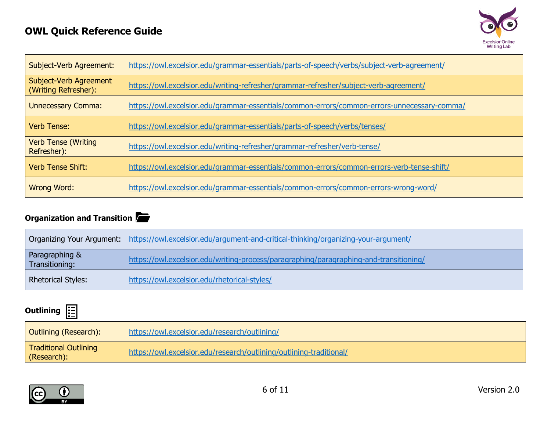

| Subject-Verb Agreement:                        | https://owl.excelsior.edu/grammar-essentials/parts-of-speech/verbs/subject-verb-agreement/  |
|------------------------------------------------|---------------------------------------------------------------------------------------------|
| Subject-Verb Agreement<br>(Writing Refresher): | https://owl.excelsior.edu/writing-refresher/grammar-refresher/subject-verb-agreement/       |
| <b>Unnecessary Comma:</b>                      | https://owl.excelsior.edu/grammar-essentials/common-errors/common-errors-unnecessary-comma/ |
| Verb Tense:                                    | https://owl.excelsior.edu/grammar-essentials/parts-of-speech/verbs/tenses/                  |
| <b>Verb Tense (Writing</b><br>Refresher):      | https://owl.excelsior.edu/writing-refresher/grammar-refresher/verb-tense/                   |
| <b>Verb Tense Shift:</b>                       | https://owl.excelsior.edu/grammar-essentials/common-errors/common-errors-verb-tense-shift/  |
| <b>Wrong Word:</b>                             | https://owl.excelsior.edu/grammar-essentials/common-errors/common-errors-wrong-word/        |

#### **Organization and Transition**

|                                  | Organizing Your Argument:   https://owl.excelsior.edu/argument-and-critical-thinking/organizing-your-argument/ |
|----------------------------------|----------------------------------------------------------------------------------------------------------------|
| Paragraphing &<br>Transitioning: | https://owl.excelsior.edu/writing-process/paragraphing/paragraphing-and-transitioning/                         |
| <b>Rhetorical Styles:</b>        | https://owl.excelsior.edu/rhetorical-styles/                                                                   |

# **Outlining**

| Outlining (Research):                | https://owl.excelsior.edu/research/outlining/                       |
|--------------------------------------|---------------------------------------------------------------------|
| Traditional Outlining<br>(Research): | https://owl.excelsior.edu/research/outlining/outlining-traditional/ |

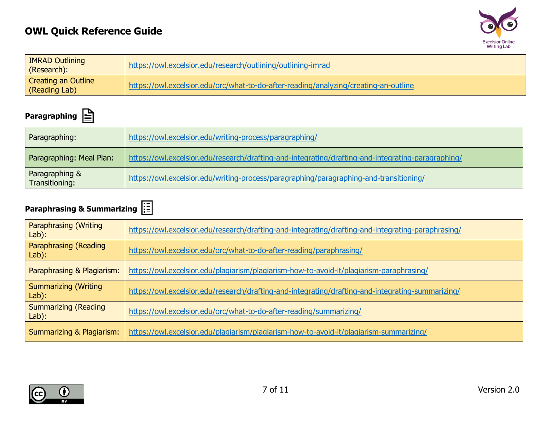

| <b>IMRAD Outlining</b><br>(Research):       | https://owl.excelsior.edu/research/outlining/outlining-imrad                         |
|---------------------------------------------|--------------------------------------------------------------------------------------|
| <b>Creating an Outline</b><br>(Reading Lab) | https://owl.excelsior.edu/orc/what-to-do-after-reading/analyzing/creating-an-outline |

### **Paragraphing**

| Paragraphing:                    | https://owl.excelsior.edu/writing-process/paragraphing/                                            |
|----------------------------------|----------------------------------------------------------------------------------------------------|
| Paragraphing: Meal Plan:         | https://owl.excelsior.edu/research/drafting-and-integrating/drafting-and-integrating-paragraphing/ |
| Paragraphing &<br>Transitioning: | https://owl.excelsior.edu/writing-process/paragraphing/paragraphing-and-transitioning/             |

# **Paraphrasing & Summarizing**

| <b>Paraphrasing (Writing</b><br>Lab): | https://owl.excelsior.edu/research/drafting-and-integrating/drafting-and-integrating-paraphrasing/ |
|---------------------------------------|----------------------------------------------------------------------------------------------------|
| Paraphrasing (Reading<br>Lab):        | https://owl.excelsior.edu/orc/what-to-do-after-reading/paraphrasing/                               |
| Paraphrasing & Plagiarism:            | https://owl.excelsior.edu/plagiarism/plagiarism-how-to-avoid-it/plagiarism-paraphrasing/           |
| <b>Summarizing (Writing</b><br>Lab):  | https://owl.excelsior.edu/research/drafting-and-integrating/drafting-and-integrating-summarizing/  |
| <b>Summarizing (Reading</b><br>Lab):  | https://owl.excelsior.edu/orc/what-to-do-after-reading/summarizing/                                |
| Summarizing & Plagiarism:             | https://owl.excelsior.edu/plagiarism/plagiarism-how-to-avoid-it/plagiarism-summarizing/            |

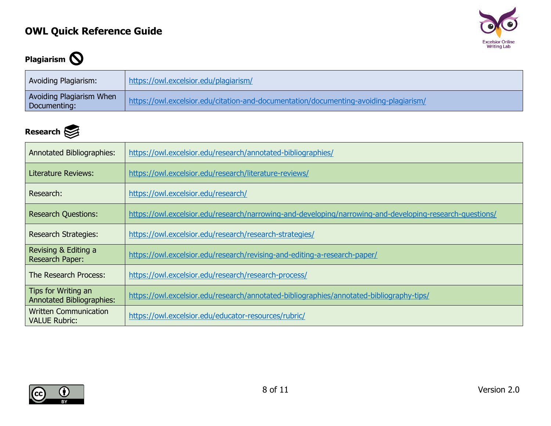

# **Plagiarism**

| Avoiding Plagiarism:                     | https://owl.excelsior.edu/plagiarism/                                                 |
|------------------------------------------|---------------------------------------------------------------------------------------|
| Avoiding Plagiarism When<br>Documenting: | https://owl.excelsior.edu/citation-and-documentation/documenting-avoiding-plagiarism/ |

### **Research**

| <b>Annotated Bibliographies:</b>                        | https://owl.excelsior.edu/research/annotated-bibliographies/                                             |
|---------------------------------------------------------|----------------------------------------------------------------------------------------------------------|
| <b>Literature Reviews:</b>                              | https://owl.excelsior.edu/research/literature-reviews/                                                   |
| Research:                                               | https://owl.excelsior.edu/research/                                                                      |
| <b>Research Questions:</b>                              | https://owl.excelsior.edu/research/narrowing-and-developing/narrowing-and-developing-research-questions/ |
| <b>Research Strategies:</b>                             | https://owl.excelsior.edu/research/research-strategies/                                                  |
| Revising & Editing a<br>Research Paper:                 | https://owl.excelsior.edu/research/revising-and-editing-a-research-paper/                                |
| The Research Process:                                   | https://owl.excelsior.edu/research/research-process/                                                     |
| Tips for Writing an<br><b>Annotated Bibliographies:</b> | https://owl.excelsior.edu/research/annotated-bibliographies/annotated-bibliography-tips/                 |
| <b>Written Communication</b><br><b>VALUE Rubric:</b>    | https://owl.excelsior.edu/educator-resources/rubric/                                                     |

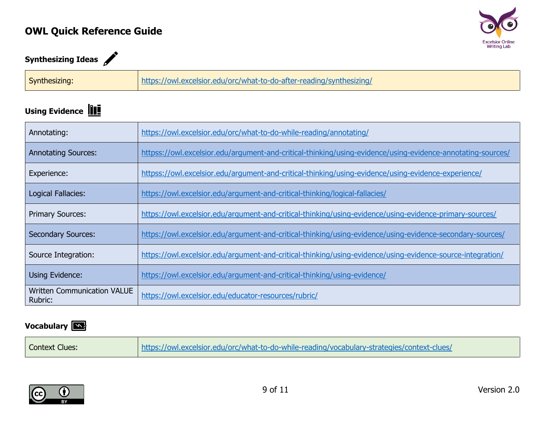

# **Synthesizing Ideas**

| Synthesizing: |
|---------------|
|---------------|

### **Using Evidence**

| Annotating:                                   | https://owl.excelsior.edu/orc/what-to-do-while-reading/annotating/                                          |
|-----------------------------------------------|-------------------------------------------------------------------------------------------------------------|
| <b>Annotating Sources:</b>                    | httpss://owl.excelsior.edu/argument-and-critical-thinking/using-evidence/using-evidence-annotating-sources/ |
| Experience:                                   | httpss://owl.excelsior.edu/argument-and-critical-thinking/using-evidence/using-evidence-experience/         |
| Logical Fallacies:                            | https://owl.excelsior.edu/argument-and-critical-thinking/logical-fallacies/                                 |
| <b>Primary Sources:</b>                       | https://owl.excelsior.edu/argument-and-critical-thinking/using-evidence/using-evidence-primary-sources/     |
| <b>Secondary Sources:</b>                     | https://owl.excelsior.edu/argument-and-critical-thinking/using-evidence/using-evidence-secondary-sources/   |
| Source Integration:                           | https://owl.excelsior.edu/argument-and-critical-thinking/using-evidence/using-evidence-source-integration/  |
| Using Evidence:                               | https://owl.excelsior.edu/argument-and-critical-thinking/using-evidence/                                    |
| <b>Written Communication VALUE</b><br>Rubric: | https://owl.excelsior.edu/educator-resources/rubric/                                                        |

#### **Vocabulary**

| <b>Context Clues:</b> | https://owl.excelsior.edu/orc/what-to-do-while-reading/vocabulary-strategies/context-clues/ |
|-----------------------|---------------------------------------------------------------------------------------------|
|-----------------------|---------------------------------------------------------------------------------------------|

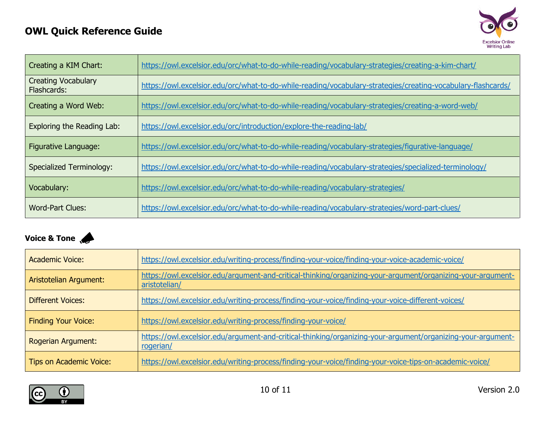

| Creating a KIM Chart:                     | https://owl.excelsior.edu/orc/what-to-do-while-reading/vocabulary-strategies/creating-a-kim-chart/           |
|-------------------------------------------|--------------------------------------------------------------------------------------------------------------|
| <b>Creating Vocabulary</b><br>Flashcards: | https://owl.excelsior.edu/orc/what-to-do-while-reading/vocabulary-strategies/creating-vocabulary-flashcards/ |
| Creating a Word Web:                      | https://owl.excelsior.edu/orc/what-to-do-while-reading/vocabulary-strategies/creating-a-word-web/            |
| Exploring the Reading Lab:                | https://owl.excelsior.edu/orc/introduction/explore-the-reading-lab/                                          |
| Figurative Language:                      | https://owl.excelsior.edu/orc/what-to-do-while-reading/vocabulary-strategies/figurative-language/            |
| <b>Specialized Terminology:</b>           | https://owl.excelsior.edu/orc/what-to-do-while-reading/vocabulary-strategies/specialized-terminology/        |
| Vocabulary:                               | https://owl.excelsior.edu/orc/what-to-do-while-reading/vocabulary-strategies/                                |
| <b>Word-Part Clues:</b>                   | https://owl.excelsior.edu/orc/what-to-do-while-reading/vocabulary-strategies/word-part-clues/                |

#### **Voice & Tone**

| <b>Academic Voice:</b>         | https://owl.excelsior.edu/writing-process/finding-your-voice/finding-your-voice-academic-voice/                              |
|--------------------------------|------------------------------------------------------------------------------------------------------------------------------|
| Aristotelian Argument:         | https://owl.excelsior.edu/argument-and-critical-thinking/organizing-your-argument/organizing-your-argument-<br>aristotelian/ |
| <b>Different Voices:</b>       | https://owl.excelsior.edu/writing-process/finding-your-voice/finding-your-voice-different-voices/                            |
| <b>Finding Your Voice:</b>     | https://owl.excelsior.edu/writing-process/finding-your-voice/                                                                |
| Rogerian Argument:             | https://owl.excelsior.edu/argument-and-critical-thinking/organizing-your-argument/organizing-your-argument-<br>rogerian/     |
| <b>Tips on Academic Voice:</b> | https://owl.excelsior.edu/writing-process/finding-your-voice/finding-your-voice-tips-on-academic-voice/                      |